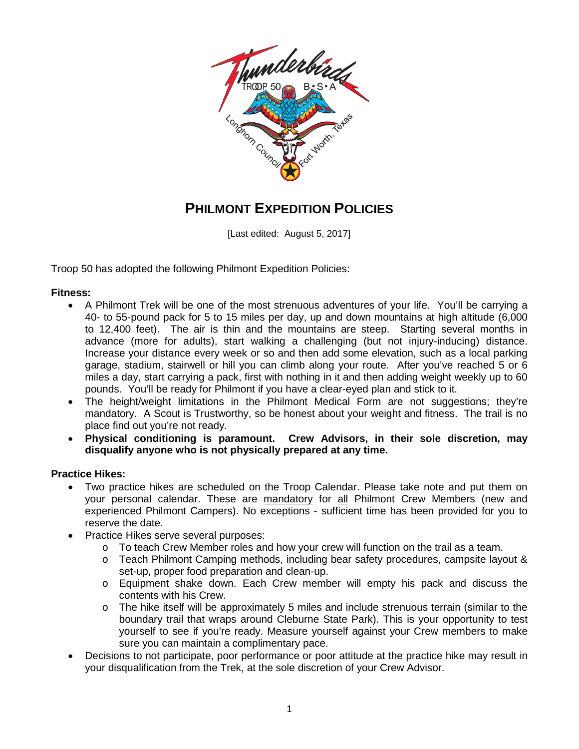

# **PHILMONT EXPEDITION POLICIES**

[Last edited: August 5, 2017]

Troop 50 has adopted the following Philmont Expedition Policies:

## **Fitness:**

- A Philmont Trek will be one of the most strenuous adventures of your life. You'll be carrying a 40- to 55-pound pack for 5 to 15 miles per day, up and down mountains at high altitude (6,000 to 12,400 feet). The air is thin and the mountains are steep. Starting several months in advance (more for adults), start walking a challenging (but not injury-inducing) distance. Increase your distance every week or so and then add some elevation, such as a local parking garage, stadium, stairwell or hill you can climb along your route. After you've reached 5 or 6 miles a day, start carrying a pack, first with nothing in it and then adding weight weekly up to 60 pounds. You'll be ready for Philmont if you have a clear-eyed plan and stick to it.
- The height/weight limitations in the Philmont Medical Form are not suggestions; they're mandatory. A Scout is Trustworthy, so be honest about your weight and fitness. The trail is no place find out you're not ready.
- **Physical conditioning is paramount. Crew Advisors, in their sole discretion, may disqualify anyone who is not physically prepared at any time.**

#### **Practice Hikes:**

- Two practice hikes are scheduled on the Troop Calendar. Please take note and put them on your personal calendar. These are mandatory for all Philmont Crew Members (new and experienced Philmont Campers). No exceptions - sufficient time has been provided for you to reserve the date.
- Practice Hikes serve several purposes:
	- $\circ$  To teach Crew Member roles and how your crew will function on the trail as a team.
	- o Teach Philmont Camping methods, including bear safety procedures, campsite layout & set-up, proper food preparation and clean-up.
	- o Equipment shake down. Each Crew member will empty his pack and discuss the contents with his Crew.
	- $\circ$  The hike itself will be approximately 5 miles and include strenuous terrain (similar to the boundary trail that wraps around Cleburne State Park). This is your opportunity to test yourself to see if you're ready. Measure yourself against your Crew members to make sure you can maintain a complimentary pace.
- Decisions to not participate, poor performance or poor attitude at the practice hike may result in your disqualification from the Trek, at the sole discretion of your Crew Advisor.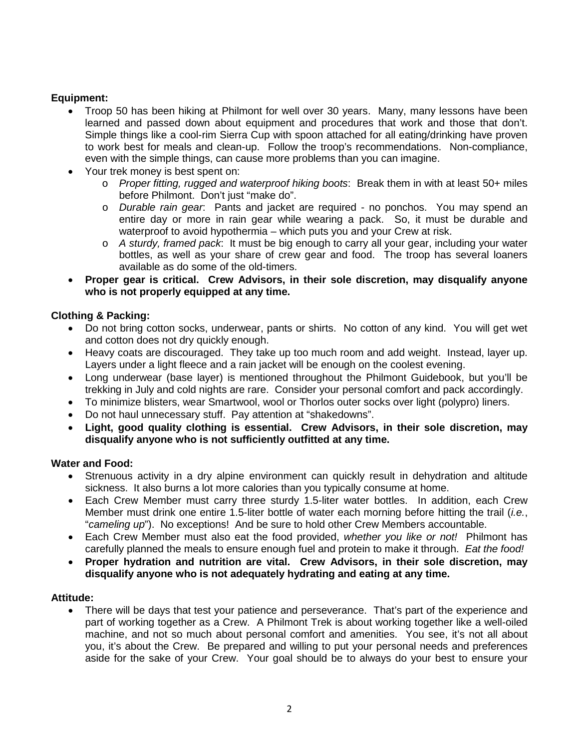# **Equipment:**

- Troop 50 has been hiking at Philmont for well over 30 years. Many, many lessons have been learned and passed down about equipment and procedures that work and those that don't. Simple things like a cool-rim Sierra Cup with spoon attached for all eating/drinking have proven to work best for meals and clean-up. Follow the troop's recommendations. Non-compliance, even with the simple things, can cause more problems than you can imagine.
- Your trek money is best spent on:
	- o *Proper fitting, rugged and waterproof hiking boots*: Break them in with at least 50+ miles before Philmont. Don't just "make do".
	- o *Durable rain gear*: Pants and jacket are required no ponchos. You may spend an entire day or more in rain gear while wearing a pack. So, it must be durable and waterproof to avoid hypothermia – which puts you and your Crew at risk.
	- o *A sturdy, framed pack*: It must be big enough to carry all your gear, including your water bottles, as well as your share of crew gear and food. The troop has several loaners available as do some of the old-timers.
- **Proper gear is critical. Crew Advisors, in their sole discretion, may disqualify anyone who is not properly equipped at any time.**

## **Clothing & Packing:**

- Do not bring cotton socks, underwear, pants or shirts. No cotton of any kind. You will get wet and cotton does not dry quickly enough.
- Heavy coats are discouraged. They take up too much room and add weight. Instead, layer up. Layers under a light fleece and a rain jacket will be enough on the coolest evening.
- Long underwear (base layer) is mentioned throughout the Philmont Guidebook, but you'll be trekking in July and cold nights are rare. Consider your personal comfort and pack accordingly.
- To minimize blisters, wear Smartwool, wool or Thorlos outer socks over light (polypro) liners.
- Do not haul unnecessary stuff. Pay attention at "shakedowns".
- **Light, good quality clothing is essential. Crew Advisors, in their sole discretion, may disqualify anyone who is not sufficiently outfitted at any time.**

## **Water and Food:**

- Strenuous activity in a dry alpine environment can quickly result in dehydration and altitude sickness. It also burns a lot more calories than you typically consume at home.
- Each Crew Member must carry three sturdy 1.5-liter water bottles. In addition, each Crew Member must drink one entire 1.5-liter bottle of water each morning before hitting the trail (*i.e.*, "*cameling up*"). No exceptions! And be sure to hold other Crew Members accountable.
- Each Crew Member must also eat the food provided, *whether you like or not!* Philmont has carefully planned the meals to ensure enough fuel and protein to make it through. *Eat the food!*
- **Proper hydration and nutrition are vital. Crew Advisors, in their sole discretion, may disqualify anyone who is not adequately hydrating and eating at any time.**

#### **Attitude:**

• There will be days that test your patience and perseverance. That's part of the experience and part of working together as a Crew. A Philmont Trek is about working together like a well-oiled machine, and not so much about personal comfort and amenities. You see, it's not all about you, it's about the Crew. Be prepared and willing to put your personal needs and preferences aside for the sake of your Crew. Your goal should be to always do your best to ensure your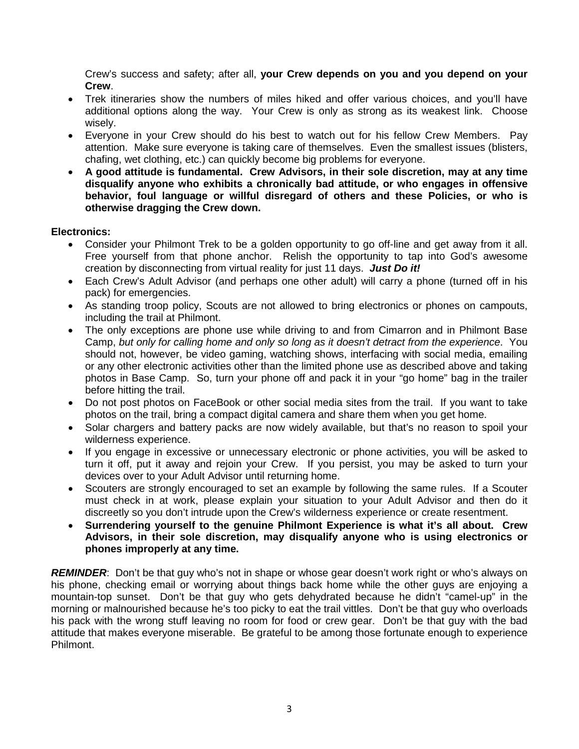Crew's success and safety; after all, **your Crew depends on you and you depend on your Crew**.

- Trek itineraries show the numbers of miles hiked and offer various choices, and you'll have additional options along the way. Your Crew is only as strong as its weakest link. Choose wisely.
- Everyone in your Crew should do his best to watch out for his fellow Crew Members. Pay attention. Make sure everyone is taking care of themselves. Even the smallest issues (blisters, chafing, wet clothing, etc.) can quickly become big problems for everyone.
- **A good attitude is fundamental. Crew Advisors, in their sole discretion, may at any time disqualify anyone who exhibits a chronically bad attitude, or who engages in offensive behavior, foul language or willful disregard of others and these Policies, or who is otherwise dragging the Crew down.**

# **Electronics:**

- Consider your Philmont Trek to be a golden opportunity to go off-line and get away from it all. Free yourself from that phone anchor. Relish the opportunity to tap into God's awesome creation by disconnecting from virtual reality for just 11 days. *Just Do it!*
- Each Crew's Adult Advisor (and perhaps one other adult) will carry a phone (turned off in his pack) for emergencies.
- As standing troop policy, Scouts are not allowed to bring electronics or phones on campouts, including the trail at Philmont.
- The only exceptions are phone use while driving to and from Cimarron and in Philmont Base Camp, *but only for calling home and only so long as it doesn't detract from the experience*. You should not, however, be video gaming, watching shows, interfacing with social media, emailing or any other electronic activities other than the limited phone use as described above and taking photos in Base Camp. So, turn your phone off and pack it in your "go home" bag in the trailer before hitting the trail.
- Do not post photos on FaceBook or other social media sites from the trail. If you want to take photos on the trail, bring a compact digital camera and share them when you get home.
- Solar chargers and battery packs are now widely available, but that's no reason to spoil your wilderness experience.
- If you engage in excessive or unnecessary electronic or phone activities, you will be asked to turn it off, put it away and rejoin your Crew. If you persist, you may be asked to turn your devices over to your Adult Advisor until returning home.
- Scouters are strongly encouraged to set an example by following the same rules. If a Scouter must check in at work, please explain your situation to your Adult Advisor and then do it discreetly so you don't intrude upon the Crew's wilderness experience or create resentment.
- **Surrendering yourself to the genuine Philmont Experience is what it's all about. Crew Advisors, in their sole discretion, may disqualify anyone who is using electronics or phones improperly at any time.**

*REMINDER*: Don't be that guy who's not in shape or whose gear doesn't work right or who's always on his phone, checking email or worrying about things back home while the other guys are enjoying a mountain-top sunset. Don't be that guy who gets dehydrated because he didn't "camel-up" in the morning or malnourished because he's too picky to eat the trail vittles. Don't be that guy who overloads his pack with the wrong stuff leaving no room for food or crew gear. Don't be that guy with the bad attitude that makes everyone miserable. Be grateful to be among those fortunate enough to experience Philmont.